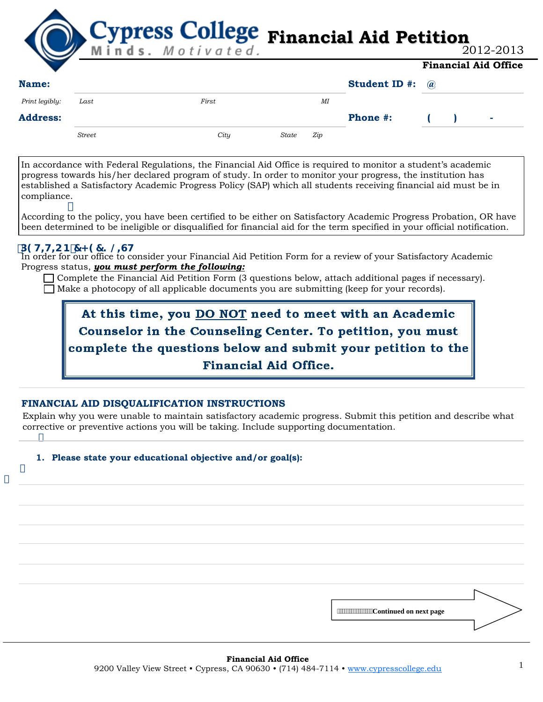**Financial Aid Petition Financial Aid Office**

| 2012-2013 |  |
|-----------|--|
|-----------|--|

| . .<br>Name:    |               |       |       |     | <b>Student ID #:</b> $\omega$ |  |  |   |
|-----------------|---------------|-------|-------|-----|-------------------------------|--|--|---|
| Print legibly:  | Last          | First |       | ΜI  |                               |  |  |   |
| <b>Address:</b> |               |       |       |     | <b>Phone #:</b>               |  |  | ٠ |
|                 | <b>Street</b> | City  | State | Zip |                               |  |  |   |

In accordance with Federal Regulations, the Financial Aid Office is required to monitor a student's academic progress towards his/her declared program of study. In order to monitor your progress, the institution has established a Satisfactory Academic Progress Policy (SAP) which all students receiving financial aid must be in compliance.

According to the policy, you have been certified to be either on Satisfactory Academic Progress Probation, OR have been determined to be ineligible or disqualified for financial aid for the term specified in your official notification. ľ

## **DOHHCB 7< 97? @CH**

j

Ĵ

Ĵ

In order for our office to consider your Financial Aid Petition Form for a review of your Satisfactory Academic Progress status, *you must perform the following:* 

 Complete the Financial Aid Petition Form (3 questions below, attach additional pages if necessary).  $\Box$  Make a photocopy of all applicable documents you are submitting (keep for your records).

At this time, you **DO NOT** need to meet with an Academic Counselor in the Counseling Center. To petition, you must complete the questions below and submit your petition to the **Financial Aid Office.** 

## **FINANCIAL AID DISQUALIFICATION INSTRUCTIONS**

Explain why you were unable to maintain satisfactory academic progress. Submit this petition and describe what corrective or preventive actions you will be taking. Include supporting documentation.

## **1. Please state your educational objective and/or goal(s):**

 **Continued on next page**